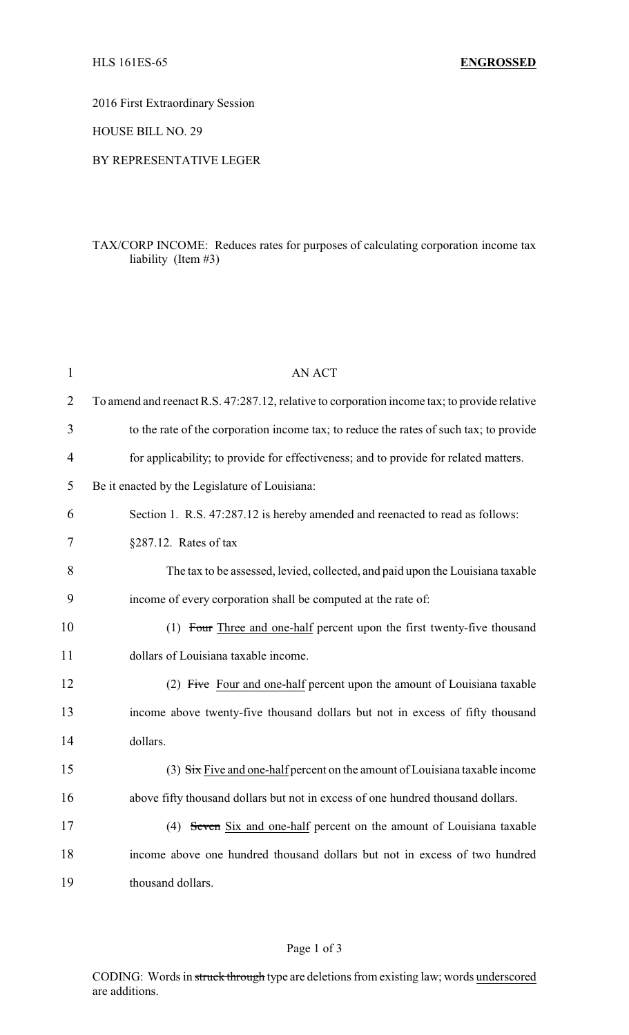2016 First Extraordinary Session

HOUSE BILL NO. 29

### BY REPRESENTATIVE LEGER

# TAX/CORP INCOME: Reduces rates for purposes of calculating corporation income tax liability (Item #3)

| $\mathbf{1}$   | <b>AN ACT</b>                                                                                |
|----------------|----------------------------------------------------------------------------------------------|
| $\overline{2}$ | To amend and reenact R.S. 47:287.12, relative to corporation income tax; to provide relative |
| 3              | to the rate of the corporation income tax; to reduce the rates of such tax; to provide       |
| 4              | for applicability; to provide for effectiveness; and to provide for related matters.         |
| 5              | Be it enacted by the Legislature of Louisiana:                                               |
| 6              | Section 1. R.S. 47:287.12 is hereby amended and reenacted to read as follows:                |
| 7              | $§287.12.$ Rates of tax                                                                      |
| 8              | The tax to be assessed, levied, collected, and paid upon the Louisiana taxable               |
| 9              | income of every corporation shall be computed at the rate of:                                |
| 10             | (1) Four Three and one-half percent upon the first twenty-five thousand                      |
| 11             | dollars of Louisiana taxable income.                                                         |
| 12             | (2) Five Four and one-half percent upon the amount of Louisiana taxable                      |
| 13             | income above twenty-five thousand dollars but not in excess of fifty thousand                |
| 14             | dollars.                                                                                     |
| 15             | $(3)$ Six Five and one-half percent on the amount of Louisiana taxable income                |
| 16             | above fifty thousand dollars but not in excess of one hundred thousand dollars.              |
| 17             | (4) Seven Six and one-half percent on the amount of Louisiana taxable                        |
| 18             | income above one hundred thousand dollars but not in excess of two hundred                   |
| 19             | thousand dollars.                                                                            |

### Page 1 of 3

CODING: Words in struck through type are deletions from existing law; words underscored are additions.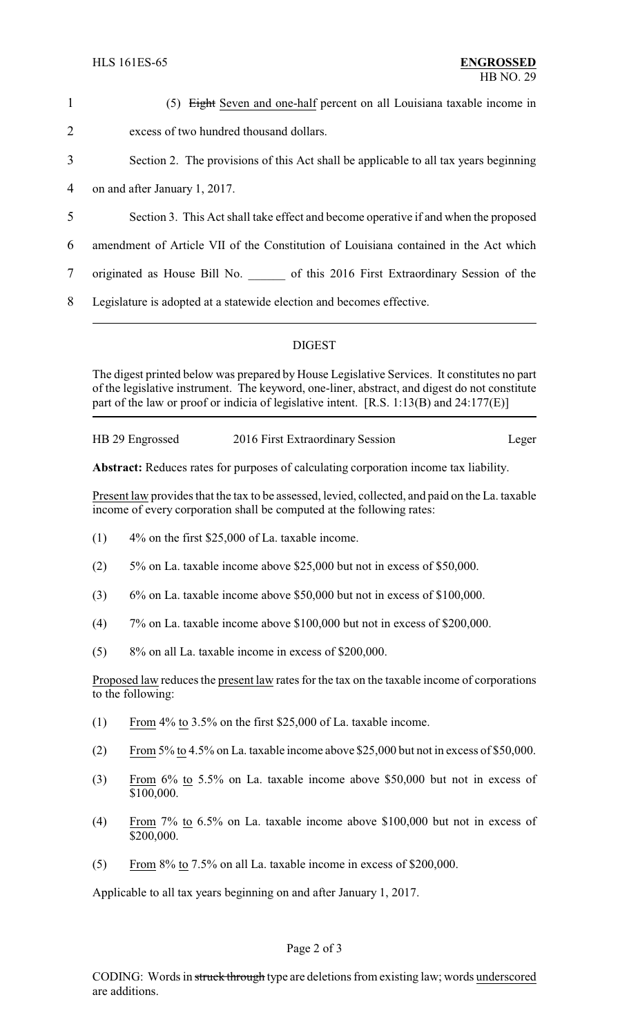1 (5) Eight Seven and one-half percent on all Louisiana taxable income in 2 excess of two hundred thousand dollars. 3 Section 2. The provisions of this Act shall be applicable to all tax years beginning

4 on and after January 1, 2017.

- 5 Section 3. This Act shall take effect and become operative if and when the proposed
- 6 amendment of Article VII of the Constitution of Louisiana contained in the Act which
- 7 originated as House Bill No. 6 of this 2016 First Extraordinary Session of the
- 8 Legislature is adopted at a statewide election and becomes effective.

# DIGEST

The digest printed below was prepared by House Legislative Services. It constitutes no part of the legislative instrument. The keyword, one-liner, abstract, and digest do not constitute part of the law or proof or indicia of legislative intent. [R.S. 1:13(B) and 24:177(E)]

HB 29 Engrossed 2016 First Extraordinary Session Leger

**Abstract:** Reduces rates for purposes of calculating corporation income tax liability.

Present law provides that the tax to be assessed, levied, collected, and paid on the La. taxable income of every corporation shall be computed at the following rates:

- $(1)$  4% on the first \$25,000 of La. taxable income.
- (2) 5% on La. taxable income above \$25,000 but not in excess of \$50,000.
- (3) 6% on La. taxable income above \$50,000 but not in excess of \$100,000.
- (4) 7% on La. taxable income above \$100,000 but not in excess of \$200,000.
- (5) 8% on all La. taxable income in excess of \$200,000.

Proposed law reduces the present law rates for the tax on the taxable income of corporations to the following:

- (1) From 4% to 3.5% on the first \$25,000 of La. taxable income.
- (2) From 5% to 4.5% on La. taxable income above \$25,000 but not in excess of \$50,000.
- (3) From 6% to 5.5% on La. taxable income above \$50,000 but not in excess of \$100,000.
- (4) From 7% to 6.5% on La. taxable income above \$100,000 but not in excess of \$200,000.
- (5) From  $8\%$  to 7.5% on all La. taxable income in excess of \$200,000.

Applicable to all tax years beginning on and after January 1, 2017.

### Page 2 of 3

CODING: Words in struck through type are deletions from existing law; words underscored are additions.